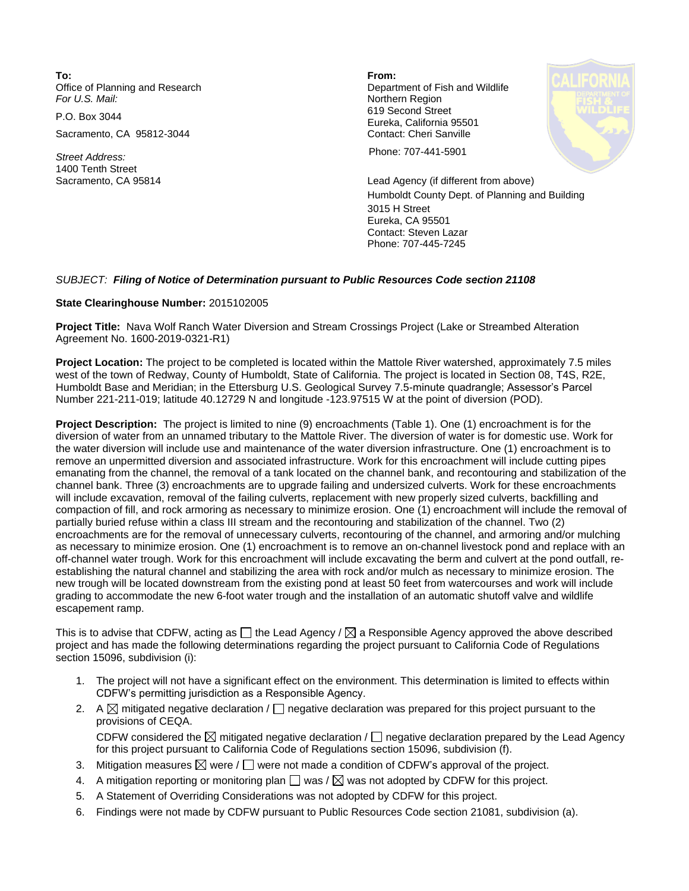**To: From:**  Office of Planning and Research **Department of Fish and Wildlife**<br>
For U.S. Mail: **Department of Fish and Wildlife** 

Sacramento, CA 95812-3044 Contact: Cheri Sanville

1400 Tenth Street

**Northern Region** P.O. Box 3044 619 Second Street Eureka, California 95501



*Street Address:* Phone: 707-441-5901

Sacramento, CA 95814 Lead Agency (if different from above) Humboldt County Dept. of Planning and Building 3015 H Street Eureka, CA 95501 Contact: Steven Lazar Phone: 707-445-7245

## *SUBJECT: Filing of Notice of Determination pursuant to Public Resources Code section 21108*

## **State Clearinghouse Number:** 2015102005

**Project Title:** Nava Wolf Ranch Water Diversion and Stream Crossings Project (Lake or Streambed Alteration Agreement No. 1600-2019-0321-R1)

**Project Location:** The project to be completed is located within the Mattole River watershed, approximately 7.5 miles west of the town of Redway, County of Humboldt, State of California. The project is located in Section 08, T4S, R2E, Humboldt Base and Meridian; in the Ettersburg U.S. Geological Survey 7.5-minute quadrangle; Assessor's Parcel Number 221-211-019; latitude 40.12729 N and longitude -123.97515 W at the point of diversion (POD).

**Project Description:** The project is limited to nine (9) encroachments (Table 1). One (1) encroachment is for the diversion of water from an unnamed tributary to the Mattole River. The diversion of water is for domestic use. Work for the water diversion will include use and maintenance of the water diversion infrastructure. One (1) encroachment is to remove an unpermitted diversion and associated infrastructure. Work for this encroachment will include cutting pipes emanating from the channel, the removal of a tank located on the channel bank, and recontouring and stabilization of the channel bank. Three (3) encroachments are to upgrade failing and undersized culverts. Work for these encroachments will include excavation, removal of the failing culverts, replacement with new properly sized culverts, backfilling and compaction of fill, and rock armoring as necessary to minimize erosion. One (1) encroachment will include the removal of partially buried refuse within a class III stream and the recontouring and stabilization of the channel. Two (2) encroachments are for the removal of unnecessary culverts, recontouring of the channel, and armoring and/or mulching as necessary to minimize erosion. One (1) encroachment is to remove an on-channel livestock pond and replace with an off-channel water trough. Work for this encroachment will include excavating the berm and culvert at the pond outfall, reestablishing the natural channel and stabilizing the area with rock and/or mulch as necessary to minimize erosion. The new trough will be located downstream from the existing pond at least 50 feet from watercourses and work will include grading to accommodate the new 6-foot water trough and the installation of an automatic shutoff valve and wildlife escapement ramp.

This is to advise that CDFW, acting as  $\Box$  the Lead Agency /  $\boxtimes$  a Responsible Agency approved the above described project and has made the following determinations regarding the project pursuant to California Code of Regulations section 15096, subdivision (i):

- 1. The project will not have a significant effect on the environment. This determination is limited to effects within CDFW's permitting jurisdiction as a Responsible Agency.
- 2. A  $\boxtimes$  mitigated negative declaration /  $\Box$  negative declaration was prepared for this project pursuant to the provisions of CEQA. CDFW considered the  $\boxtimes$  mitigated negative declaration /  $\Box$  negative declaration prepared by the Lead Agency for this project pursuant to California Code of Regulations section 15096, subdivision (f).
- 3. Mitigation measures  $\boxtimes$  were  $/\Box$  were not made a condition of CDFW's approval of the project.
- 4. A mitigation reporting or monitoring plan  $\square$  was /  $\boxtimes$  was not adopted by CDFW for this project.
- 5. A Statement of Overriding Considerations was not adopted by CDFW for this project.
- 6. Findings were not made by CDFW pursuant to Public Resources Code section 21081, subdivision (a).